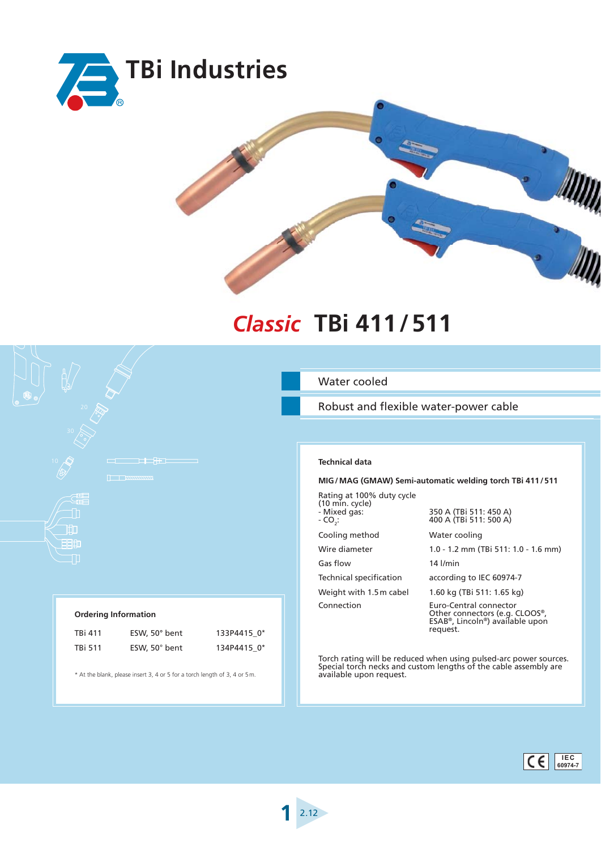



## *Classic* **TBi 411 / 511 TBi 411/511**

Robust and flexible water-power cable

| Technical data |  |
|----------------|--|

## **MIG / MAG (GMAW) Semi-automatic welding torch TBi 411 / 511**

Rating at 100% duty cycle (10 min. cycle) - Mixed gas:

 $-$  CO<sub>2</sub>:

Cooling method Water cooling

Gas flow 14 l/min

350 A (TBi 511: 450 A) 400 A (TBi 511: 500 A)

Wire diameter 1.0 - 1.2 mm (TBi 511: 1.0 - 1.6 mm)

Technical specification according to IEC 60974-7

Weight with  $1.5$  m cabel  $1.60$  kg (TBi 511:  $1.65$  kg)

Connection Euro-Central connector Other connectors (e.g. CLOOS®, ESAB®, Lincoln®) available upon request.

Torch rating will be reduced when using pulsed-arc power sources. Special torch necks and custom lengths of the cable assembly are available upon request.

11CD 丽血

> TBi 411 ESW, 50° bent 133P4415\_0\* TBi 511 ESW, 50° bent 134P4415\_0\*

\* At the blank, please insert 3, 4 or 5 for a torch length of 3, 4 or 5 m.